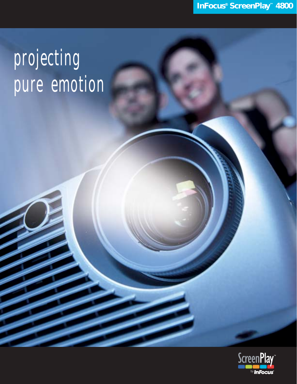# projecting pure emotion

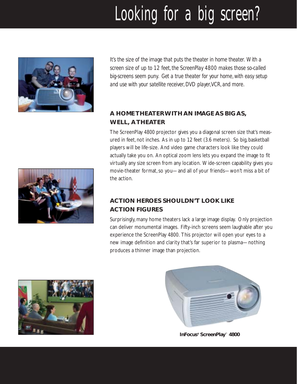## Looking for a big screen?



*It's the size of the image that puts the theater in home theater. With a screen size of up to 12 feet, the ScreenPlay 4800 makes those so-called big-screens seem puny. Get a true theater for your home, with easy setup and use with your satellite receiver, DVD player,VCR, and more.*

#### **A HOME THEATER WITH AN IMAGE AS BIG AS, WELL, ATHEATER**

The ScreenPlay 4800 projector gives you a diagonal screen size that's measured in feet, not inches. As in up to 12 feet (3.6 meters). So big, basketball players will be life-size. And video game characters look like they could actually take you on. An optical zoom lens lets you expand the image to fit virtually any size screen from any location. Wide-screen capability gives you movie-theater format, so you—and all of your friends—won't miss a bit of the action.

### **ACTION HEROES SHOULDN'T LOOK LIKE ACTION FIGURES**

Surprisingly, many home theaters lack a large image display. Only projection can deliver monumental images. Fifty-inch screens seem laughable after you experience the ScreenPlay 4800. This projector will open your eyes to a new image definition and clarity that's far superior to plasma—nothing produces a thinner image than projection.





**InFocus® ScreenPlay™ 4800**

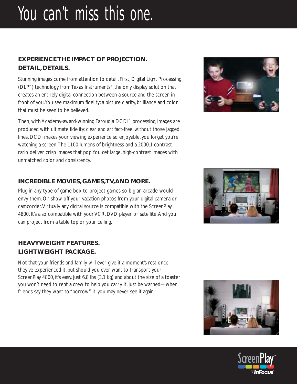## You can't miss this one.

#### **EXPERIENCE THE IMPACT OF PROJECTION. DETAIL, DETAILS.**

Stunning images come from attention to detail. First, Digital Light Processing (DLP™) technology from Texas Instruments®, the only display solution that creates an entirely digital connection between a source and the screen in front of you.You see maximum fidelity: a picture clarity, brilliance and color that must be seen to be believed.

Then, with Academy-award-winning Faroudja DCDi™ processing, images are produced with ultimate fidelity: clear and artifact-free, without those jagged lines. DCDi makes your viewing experience so enjoyable, you forget you're watching a screen.The 1100 lumens of brightness and a 2000:1 contrast ratio deliver crisp images that pop.You get large, high-contrast images with unmatched color and consistency.

#### **INCREDIBLE MOVIES, GAMES,TV,AND MORE.**

Plug in any type of game box to project games so big an arcade would envy them. Or show off your vacation photos from your digital camera or camcorder.Virtually any digital source is compatible with the ScreenPlay 4800. It's also compatible with your VCR, DVD player, or satellite.And you can project from a table top or your ceiling.

#### **HEAVYWEIGHT FEATURES. LIGHTWEIGHT PACKAGE.**

Not that your friends and family will ever give it a moment's rest once they've experienced it, but should you ever want to transport your ScreenPlay 4800, it's easy. Just 6.8 lbs (3.1 kg) and about the size of a toaster you won't need to rent a crew to help you carry it. Just be warned—when friends say they want to "borrow" it, you may never see it again.